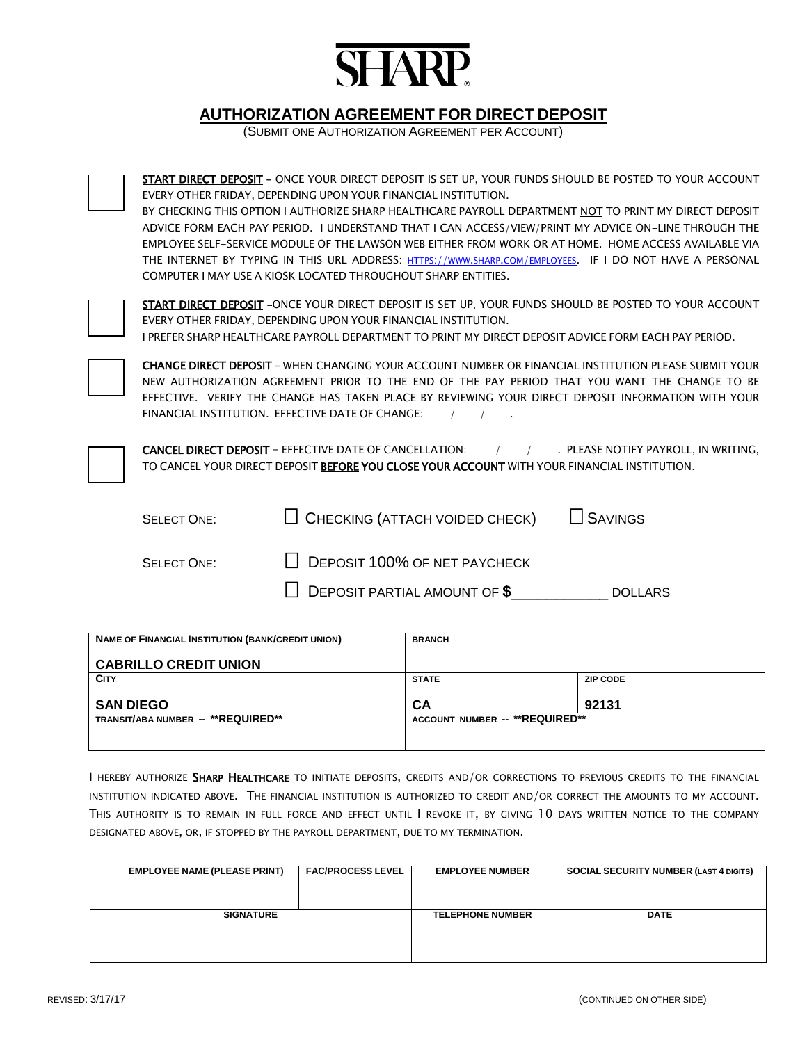

## **AUTHORIZATION AGREEMENT FOR DIRECT DEPOSIT**

(SUBMIT ONE AUTHORIZATION AGREEMENT PER ACCOUNT)



START DIRECT DEPOSIT - ONCE YOUR DIRECT DEPOSIT IS SET UP, YOUR FUNDS SHOULD BE POSTED TO YOUR ACCOUNT EVERY OTHER FRIDAY, DEPENDING UPON YOUR FINANCIAL INSTITUTION. BY CHECKING THIS OPTION I AUTHORIZE SHARP HEALTHCARE PAYROLL DEPARTMENT NOT TO PRINT MY DIRECT DEPOSIT ADVICE FORM EACH PAY PERIOD. I UNDERSTAND THAT I CAN ACCESS/VIEW/PRINT MY ADVICE ON-LINE THROUGH THE

EMPLOYEE SELF-SERVICE MODULE OF THE LAWSON WEB EITHER FROM WORK OR AT HOME. HOME ACCESS AVAILABLE VIA THE INTERNET BY TYPING IN THIS URL ADDRESS: HTTPS://www.sharp.com/employees. IF I DO NOT HAVE A PERSONAL COMPUTER I MAY USE A KIOSK LOCATED THROUGHOUT SHARP ENTITIES.



START DIRECT DEPOSIT -ONCE YOUR DIRECT DEPOSIT IS SET UP, YOUR FUNDS SHOULD BE POSTED TO YOUR ACCOUNT EVERY OTHER FRIDAY, DEPENDING UPON YOUR FINANCIAL INSTITUTION. I PREFER SHARP HEALTHCARE PAYROLL DEPARTMENT TO PRINT MY DIRECT DEPOSIT ADVICE FORM EACH PAY PERIOD.



CHANGE DIRECT DEPOSIT – WHEN CHANGING YOUR ACCOUNT NUMBER OR FINANCIAL INSTITUTION PLEASE SUBMIT YOUR NEW AUTHORIZATION AGREEMENT PRIOR TO THE END OF THE PAY PERIOD THAT YOU WANT THE CHANGE TO BE EFFECTIVE. VERIFY THE CHANGE HAS TAKEN PLACE BY REVIEWING YOUR DIRECT DEPOSIT INFORMATION WITH YOUR FINANCIAL INSTITUTION. EFFECTIVE DATE OF CHANGE: / /

CANCEL DIRECT DEPOSIT - EFFECTIVE DATE OF CANCELLATION: \_\_\_\_/ \_\_\_\_/ PLEASE NOTIFY PAYROLL, IN WRITING, TO CANCEL YOUR DIRECT DEPOSIT BEFORE YOU CLOSE YOUR ACCOUNT WITH YOUR FINANCIAL INSTITUTION.

| <b>SELECT ONE:</b> | $\Box$ CHECKING (ATTACH VOIDED CHECK) $\Box$ SAVINGS |                |
|--------------------|------------------------------------------------------|----------------|
| <b>SELECT ONE:</b> | $\Box$ DEPOSIT 100% OF NET PAYCHECK                  |                |
|                    | $\Box$ DEPOSIT PARTIAL AMOUNT OF $\frac{2}{3}$       | <b>DOLLARS</b> |

| <b>NAME OF FINANCIAL INSTITUTION (BANK/CREDIT UNION)</b> | <b>BRANCH</b>                  |                 |
|----------------------------------------------------------|--------------------------------|-----------------|
| <b>CABRILLO CREDIT UNION</b>                             |                                |                 |
| <b>CITY</b>                                              | <b>STATE</b>                   | <b>ZIP CODE</b> |
| <b>SAN DIEGO</b>                                         | <b>CA</b>                      | 92131           |
| TRANSIT/ABA NUMBER -- **REQUIRED**                       | ACCOUNT NUMBER -- **REQUIRED** |                 |
|                                                          |                                |                 |

I HEREBY AUTHORIZE SHARP HEALTHCARE TO INITIATE DEPOSITS, CREDITS AND/OR CORRECTIONS TO PREVIOUS CREDITS TO THE FINANCIAL INSTITUTION INDICATED ABOVE. THE FINANCIAL INSTITUTION IS AUTHORIZED TO CREDIT AND/OR CORRECT THE AMOUNTS TO MY ACCOUNT. THIS AUTHORITY IS TO REMAIN IN FULL FORCE AND EFFECT UNTIL I REVOKE IT, BY GIVING 10 DAYS WRITTEN NOTICE TO THE COMPANY DESIGNATED ABOVE, OR, IF STOPPED BY THE PAYROLL DEPARTMENT, DUE TO MY TERMINATION.

| <b>EMPLOYEE NAME (PLEASE PRINT)</b> | <b>FAC/PROCESS LEVEL</b> | <b>EMPLOYEE NUMBER</b>  | <b>SOCIAL SECURITY NUMBER (LAST 4 DIGITS)</b> |
|-------------------------------------|--------------------------|-------------------------|-----------------------------------------------|
|                                     |                          |                         |                                               |
|                                     |                          |                         |                                               |
|                                     |                          |                         |                                               |
|                                     |                          |                         |                                               |
|                                     |                          |                         |                                               |
|                                     |                          |                         |                                               |
| <b>SIGNATURE</b>                    |                          | <b>TELEPHONE NUMBER</b> | <b>DATE</b>                                   |
|                                     |                          |                         |                                               |
|                                     |                          |                         |                                               |
|                                     |                          |                         |                                               |
|                                     |                          |                         |                                               |
|                                     |                          |                         |                                               |
|                                     |                          |                         |                                               |
|                                     |                          |                         |                                               |